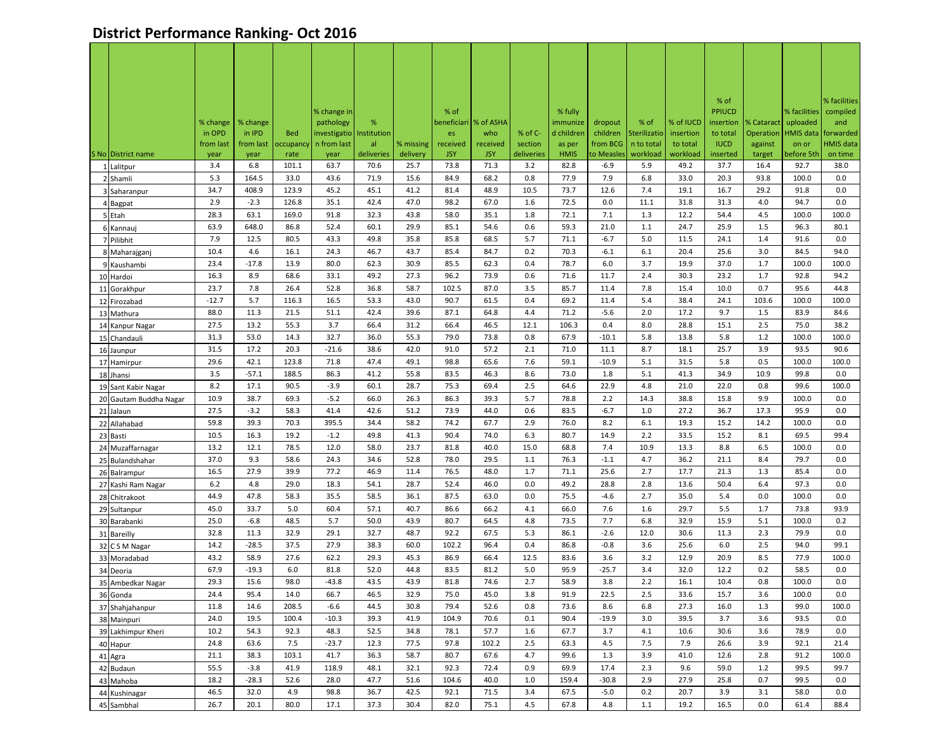## **District Performance Ranking- Oct 2016**

|                               |                   |                   |                   |                            |                   |                       |                        |                         |                       |                       |                        |                        |                      | % of                    |                   |                     | % facilities          |
|-------------------------------|-------------------|-------------------|-------------------|----------------------------|-------------------|-----------------------|------------------------|-------------------------|-----------------------|-----------------------|------------------------|------------------------|----------------------|-------------------------|-------------------|---------------------|-----------------------|
|                               |                   |                   |                   | % change in                |                   |                       | % of                   |                         |                       | % fully               |                        |                        |                      | <b>PPIUCD</b>           |                   | % facilities        | compiled              |
|                               | % change          | % change          |                   | pathology                  | %                 |                       |                        | beneficiari   % of ASHA |                       | immunize              | dropout                | % of                   | % of IUCD            | insertion               | % Cataract        | uploaded            | and                   |
|                               | in OPD            | in IPD            | <b>Bed</b>        | investigatio   Institution |                   |                       | es                     | who                     | % of C-               | d children            | children               | Sterilizatio           | insertion            | to total                | Operation         |                     | HMIS data   forwarded |
| S No District name            | from last<br>year | from last<br>year | occupancy<br>rate | n from last<br>year        | al.<br>deliveries | % missing<br>delivery | received<br><b>JSY</b> | received<br><b>JSY</b>  | section<br>deliveries | as per<br><b>HMIS</b> | from BCG<br>to Measles | n to total<br>workload | to total<br>workload | <b>IUCD</b><br>inserted | against<br>target | on or<br>before 5th | HMIS data<br>on time  |
| 1 Lalitpur                    | 3.4               | 6.8               | 101.1             | 63.7                       | 70.6              | 25.7                  | 73.8                   | 71.3                    | 3.2                   | 82.8                  | $-6.9$                 | 5.9                    | 49.2                 | 37.7                    | 16.4              | 92.7                | 38.0                  |
| 2 Shamli                      | 5.3               | 164.5             | 33.0              | 43.6                       | 71.9              | 15.6                  | 84.9                   | 68.2                    | 0.8                   | 77.9                  | 7.9                    | 6.8                    | 33.0                 | 20.3                    | 93.8              | 100.0               | 0.0                   |
| 3 Saharanpur                  | 34.7              | 408.9             | 123.9             | 45.2                       | 45.1              | 41.2                  | 81.4                   | 48.9                    | 10.5                  | 73.7                  | 12.6                   | 7.4                    | 19.1                 | 16.7                    | 29.2              | 91.8                | 0.0                   |
| 4 Bagpat                      | 2.9               | $-2.3$            | 126.8             | 35.1                       | 42.4              | 47.0                  | 98.2                   | 67.0                    | 1.6                   | 72.5                  | 0.0                    | 11.1                   | 31.8                 | 31.3                    | 4.0               | 94.7                | 0.0                   |
| 5 Etah                        | 28.3              | 63.1              | 169.0             | 91.8                       | 32.3              | 43.8                  | 58.0                   | 35.1                    | 1.8                   | 72.1                  | 7.1                    | 1.3                    | 12.2                 | 54.4                    | 4.5               | 100.0               | 100.0                 |
| 6 Kannauj                     | 63.9              | 648.0             | 86.8              | 52.4                       | 60.1              | 29.9                  | 85.1                   | 54.6                    | 0.6                   | 59.3                  | 21.0                   | 1.1                    | 24.7                 | 25.9                    | 1.5               | 96.3                | 80.1                  |
| 7 Pilibhit                    | 7.9               | 12.5              | 80.5              | 43.3                       | 49.8              | 35.8                  | 85.8                   | 68.5                    | 5.7                   | 71.1                  | $-6.7$                 | 5.0                    | 11.5                 | 24.1                    | 1.4               | 91.6                | 0.0                   |
| 8 Maharajganj                 | 10.4              | 4.6               | 16.1              | 24.3                       | 46.7              | 43.7                  | 85.4                   | 84.7                    | 0.2                   | 70.3                  | $-6.1$                 | 6.1                    | 20.4                 | 25.6                    | 3.0               | 84.5                | 94.0                  |
| 9 Kaushambi                   | 23.4              | $-17.8$           | 13.9              | 80.0                       | 62.3              | 30.9                  | 85.5                   | 62.3                    | 0.4                   | 78.7                  | 6.0                    | 3.7                    | 19.9                 | 37.0                    | 1.7               | 100.0               | 100.0                 |
| 10 Hardoi                     | 16.3              | 8.9               | 68.6              | 33.1                       | 49.2              | 27.3                  | 96.2                   | 73.9                    | 0.6                   | 71.6                  | 11.7                   | 2.4                    | 30.3                 | 23.2                    | 1.7               | 92.8                | 94.2                  |
| 11 Gorakhpur                  | 23.7              | 7.8               | 26.4              | 52.8                       | 36.8              | 58.7                  | 102.5                  | 87.0                    | 3.5                   | 85.7                  | 11.4                   | 7.8                    | 15.4                 | 10.0                    | 0.7               | 95.6                | 44.8                  |
| 12 Firozabad                  | $-12.7$           | 5.7               | 116.3             | 16.5                       | 53.3              | 43.0                  | 90.7                   | 61.5                    | 0.4                   | 69.2                  | 11.4                   | 5.4                    | 38.4                 | 24.1                    | 103.6             | 100.0               | 100.0                 |
| 13 Mathura                    | 88.0              | 11.3              | 21.5              | 51.1                       | 42.4              | 39.6                  | 87.1                   | 64.8                    | 4.4                   | 71.2                  | $-5.6$                 | 2.0                    | 17.2                 | 9.7                     | 1.5               | 83.9                | 84.6                  |
| 14 Kanpur Nagar               | 27.5              | 13.2              | 55.3              | 3.7                        | 66.4              | 31.2                  | 66.4                   | 46.5                    | 12.1                  | 106.3                 | 0.4                    | 8.0                    | 28.8                 | 15.1                    | 2.5               | 75.0                | 38.2                  |
| 15 Chandauli                  | 31.3              | 53.0              | 14.3              | 32.7                       | 36.0              | 55.3                  | 79.0                   | 73.8                    | 0.8                   | 67.9                  | $-10.1$                | 5.8                    | 13.8                 | 5.8                     | 1.2               | 100.0               | 100.0                 |
| 16 Jaunpur                    | 31.5              | 17.2              | 20.3              | $-21.6$                    | 38.6              | 42.0                  | 91.0                   | 57.2                    | 2.1                   | 71.0                  | 11.1                   | 8.7                    | 18.1                 | 25.7                    | 3.9               | 93.5                | 90.6                  |
| 17 Hamirpur                   | 29.6              | 42.1              | 123.8             | 71.8                       | 47.4              | 49.1                  | 98.8                   | 65.6                    | 7.6                   | 59.1                  | $-10.9$                | 5.1                    | 31.5                 | 5.8                     | 0.5               | 100.0               | 100.0                 |
| 18 Jhansi                     | 3.5               | $-57.1$           | 188.5             | 86.3                       | 41.2              | 55.8                  | 83.5                   | 46.3                    | 8.6                   | 73.0                  | 1.8                    | 5.1                    | 41.3                 | 34.9                    | 10.9              | 99.8                | 0.0                   |
| 19 Sant Kabir Nagar           | 8.2               | 17.1              | 90.5              | $-3.9$                     | 60.1              | 28.7                  | 75.3                   | 69.4                    | 2.5                   | 64.6                  | 22.9                   | 4.8                    | 21.0                 | 22.0                    | 0.8               | 99.6                | 100.0                 |
| 20 Gautam Buddha Nagar        | 10.9              | 38.7              | 69.3              | $-5.2$                     | 66.0              | 26.3                  | 86.3                   | 39.3                    | 5.7                   | 78.8                  | 2.2                    | 14.3                   | 38.8                 | 15.8                    | 9.9               | 100.0               | 0.0                   |
| 21 Jalaun                     | 27.5              | $-3.2$            | 58.3              | 41.4                       | 42.6              | 51.2                  | 73.9                   | 44.0                    | 0.6                   | 83.5                  | $-6.7$                 | 1.0                    | 27.2                 | 36.7                    | 17.3              | 95.9                | 0.0                   |
| 22 Allahabad                  | 59.8              | 39.3              | 70.3              | 395.5                      | 34.4              | 58.2                  | 74.2                   | 67.7                    | 2.9                   | 76.0                  | 8.2                    | 6.1                    | 19.3                 | 15.2                    | 14.2              | 100.0               | 0.0                   |
| 23 Basti                      | 10.5              | 16.3              | 19.2              | $-1.2$                     | 49.8              | 41.3                  | 90.4                   | 74.0                    | 6.3                   | 80.7                  | 14.9                   | 2.2                    | 33.5                 | 15.2                    | 8.1               | 69.5                | 99.4                  |
| 24 Muzaffarnagar              | 13.2              | 12.1              | 78.5              | 12.0                       | 58.0              | 23.7                  | 81.8                   | 40.0                    | 15.0                  | 68.8                  | 7.4                    | 10.9                   | 13.3                 | 8.8                     | 6.5               | 100.0               | 0.0                   |
| 25 Bulandshahar               | 37.0              | 9.3               | 58.6              | 24.3                       | 34.6              | 52.8                  | 78.0                   | 29.5                    | 1.1                   | 76.3                  | $-1.1$                 | 4.7                    | 36.2                 | 21.1                    | 8.4               | 79.7                | 0.0                   |
| 26 Balrampur                  | 16.5              | 27.9              | 39.9              | 77.2                       | 46.9              | 11.4                  | 76.5                   | 48.0                    | 1.7                   | 71.1                  | 25.6                   | 2.7                    | 17.7                 | 21.3                    | 1.3               | 85.4                | 0.0                   |
| 27 Kashi Ram Nagar            | 6.2<br>44.9       | 4.8<br>47.8       | 29.0<br>58.3      | 18.3<br>35.5               | 54.1<br>58.5      | 28.7<br>36.1          | 52.4<br>87.5           | 46.0<br>63.0            | 0.0<br>0.0            | 49.2<br>75.5          | 28.8<br>$-4.6$         | 2.8<br>2.7             | 13.6<br>35.0         | 50.4<br>5.4             | 6.4<br>0.0        | 97.3<br>100.0       | 0.0<br>0.0            |
| 28 Chitrakoot                 | 45.0              | 33.7              | 5.0               | 60.4                       | 57.1              | 40.7                  | 86.6                   | 66.2                    | 4.1                   | 66.0                  | 7.6                    | 1.6                    | 29.7                 | 5.5                     | 1.7               | 73.8                | 93.9                  |
| 29 Sultanpur                  | 25.0              | $-6.8$            | 48.5              | 5.7                        | 50.0              | 43.9                  | 80.7                   | 64.5                    | 4.8                   | 73.5                  | 7.7                    | 6.8                    | 32.9                 | 15.9                    | 5.1               | 100.0               | 0.2                   |
| 30 Barabanki                  | 32.8              | 11.3              | 32.9              | 29.1                       | 32.7              | 48.7                  | 92.2                   | 67.5                    | 5.3                   | 86.1                  | $-2.6$                 | 12.0                   | 30.6                 | 11.3                    | 2.3               | 79.9                | 0.0                   |
| 31 Bareilly<br>32 C S M Nagar | 14.2              | $-28.5$           | 37.5              | 27.9                       | 38.3              | 60.0                  | 102.2                  | 96.4                    | 0.4                   | 86.8                  | $-0.8$                 | 3.6                    | 25.6                 | 6.0                     | 2.5               | 94.0                | 99.1                  |
| 33 Moradabad                  | 43.2              | 58.9              | 27.6              | 62.2                       | 29.3              | 45.3                  | 86.9                   | 66.4                    | 12.5                  | 83.6                  | 3.6                    | 3.2                    | 12.9                 | 20.9                    | 8.5               | 77.9                | 100.0                 |
| 34 Deoria                     | 67.9              | $-19.3$           | 6.0               | 81.8                       | 52.0              | 44.8                  | 83.5                   | 81.2                    | 5.0                   | 95.9                  | $-25.7$                | 3.4                    | 32.0                 | 12.2                    | 0.2               | 58.5                | 0.0                   |
| 35 Ambedkar Nagar             | 29.3              | 15.6              | 98.0              | $-43.8$                    | 43.5              | 43.9                  | 81.8                   | 74.6                    | 2.7                   | 58.9                  | 3.8                    | 2.2                    | 16.1                 | 10.4                    | 0.8               | 100.0               | 0.0                   |
| 36 Gonda                      | 24.4              | 95.4              | 14.0              | 66.7                       | 46.5              | 32.9                  | 75.0                   | 45.0                    | 3.8                   | 91.9                  | 22.5                   | 2.5                    | 33.6                 | 15.7                    | 3.6               | 100.0               | 0.0                   |
| 37 Shahjahanpur               | 11.8              | 14.6              | 208.5             | $-6.6$                     | 44.5              | 30.8                  | 79.4                   | 52.6                    | 0.8                   | 73.6                  | 8.6                    | 6.8                    | 27.3                 | 16.0                    | 1.3               | 99.0                | 100.0                 |
| 38 Mainpuri                   | 24.0              | 19.5              | 100.4             | $-10.3$                    | 39.3              | 41.9                  | 104.9                  | 70.6                    | 0.1                   | 90.4                  | $-19.9$                | 3.0                    | 39.5                 | 3.7                     | 3.6               | 93.5                | 0.0                   |
| 39 Lakhimpur Kheri            | 10.2              | 54.3              | 92.3              | 48.3                       | 52.5              | 34.8                  | 78.1                   | 57.7                    | 1.6                   | 67.7                  | 3.7                    | 4.1                    | 10.6                 | 30.6                    | 3.6               | 78.9                | 0.0                   |
| 40 Hapur                      | 24.8              | 63.6              | 7.5               | $-23.7$                    | 12.3              | 77.5                  | 97.8                   | 102.2                   | 2.5                   | 63.3                  | 4.5                    | 7.5                    | 7.9                  | 26.6                    | 3.9               | 92.1                | 21.4                  |
| 41 Agra                       | 21.1              | 38.3              | 103.1             | 41.7                       | 36.3              | 58.7                  | 80.7                   | 67.6                    | 4.7                   | 99.6                  | 1.3                    | 3.9                    | 41.0                 | 12.6                    | 2.8               | 91.2                | 100.0                 |
| 42 Budaun                     | 55.5              | $-3.8$            | 41.9              | 118.9                      | 48.1              | 32.1                  | 92.3                   | 72.4                    | 0.9                   | 69.9                  | 17.4                   | 2.3                    | 9.6                  | 59.0                    | 1.2               | 99.5                | 99.7                  |
| 43 Mahoba                     | 18.2              | $-28.3$           | 52.6              | 28.0                       | 47.7              | 51.6                  | 104.6                  | 40.0                    | 1.0                   | 159.4                 | $-30.8$                | 2.9                    | 27.9                 | 25.8                    | 0.7               | 99.5                | 0.0                   |
| 44 Kushinagar                 | 46.5              | 32.0              | 4.9               | 98.8                       | 36.7              | 42.5                  | 92.1                   | 71.5                    | 3.4                   | 67.5                  | $-5.0$                 | 0.2                    | 20.7                 | 3.9                     | 3.1               | 58.0                | 0.0                   |
| 45 Sambhal                    | 26.7              | 20.1              | 80.0              | 17.1                       | 37.3              | 30.4                  | 82.0                   | 75.1                    | 4.5                   | 67.8                  | 4.8                    | 1.1                    | 19.2                 | 16.5                    | 0.0               | 61.4                | 88.4                  |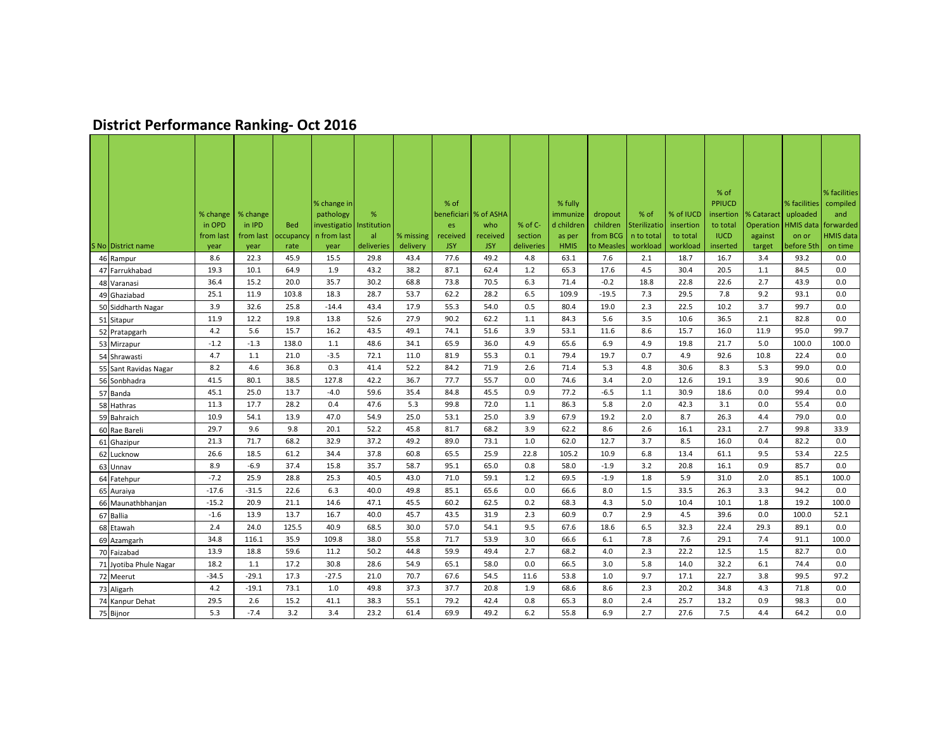## **District Performance Ranking- Oct 2016**

|                        |           |           |            |                            |            |           | % of       |                         |            |                     |            |              |           | % of                       |            |                          | % facilities    |
|------------------------|-----------|-----------|------------|----------------------------|------------|-----------|------------|-------------------------|------------|---------------------|------------|--------------|-----------|----------------------------|------------|--------------------------|-----------------|
|                        | % change  | % change  |            | % change in<br>pathology   | %          |           |            | beneficiari   % of ASHA |            | % fully<br>immunize | dropout    | % of         | % of IUCD | <b>PPIUCD</b><br>insertion | % Cataract | % facilities<br>uploaded | compiled<br>and |
|                        | in OPD    | in IPD    | <b>Bed</b> | investigatio   Institution |            |           | es         | who                     | % of C-    | d children          | children   | Sterilizatio | insertion | to total                   | Operation  | HMIS data                | forwarded       |
|                        | from last | from last | occupancy  | n from last                | al         | % missing | received   | received                | section    | as per              | from BCG   | n to total   | to total  | <b>IUCD</b>                | against    | on or                    | HMIS data       |
| S No District name     | year      | year      | rate       | year                       | deliveries | delivery  | <b>JSY</b> | <b>JSY</b>              | deliveries | <b>HMIS</b>         | to Measles | workload     | workload  | inserted                   | target     | before 5th               | on time         |
| 46 Rampur              | 8.6       | 22.3      | 45.9       | 15.5                       | 29.8       | 43.4      | 77.6       | 49.2                    | 4.8        | 63.1                | 7.6        | 2.1          | 18.7      | 16.7                       | 3.4        | 93.2                     | 0.0             |
| 47 Farrukhabad         | 19.3      | 10.1      | 64.9       | 1.9                        | 43.2       | 38.2      | 87.1       | 62.4                    | 1.2        | 65.3                | 17.6       | 4.5          | 30.4      | 20.5                       | 1.1        | 84.5                     | 0.0             |
| 48 Varanasi            | 36.4      | 15.2      | 20.0       | 35.7                       | 30.2       | 68.8      | 73.8       | 70.5                    | 6.3        | 71.4                | $-0.2$     | 18.8         | 22.8      | 22.6                       | 2.7        | 43.9                     | 0.0             |
| 49 Ghaziabad           | 25.1      | 11.9      | 103.8      | 18.3                       | 28.7       | 53.7      | 62.2       | 28.2                    | 6.5        | 109.9               | $-19.5$    | 7.3          | 29.5      | 7.8                        | 9.2        | 93.1                     | 0.0             |
| 50 Siddharth Nagar     | 3.9       | 32.6      | 25.8       | $-14.4$                    | 43.4       | 17.9      | 55.3       | 54.0                    | 0.5        | 80.4                | 19.0       | 2.3          | 22.5      | 10.2                       | 3.7        | 99.7                     | 0.0             |
| 51 Sitapur             | 11.9      | 12.2      | 19.8       | 13.8                       | 52.6       | 27.9      | 90.2       | 62.2                    | 1.1        | 84.3                | 5.6        | 3.5          | 10.6      | 36.5                       | 2.1        | 82.8                     | 0.0             |
| 52 Pratapgarh          | 4.2       | 5.6       | 15.7       | 16.2                       | 43.5       | 49.1      | 74.1       | 51.6                    | 3.9        | 53.1                | 11.6       | 8.6          | 15.7      | 16.0                       | 11.9       | 95.0                     | 99.7            |
| 53 Mirzapur            | $-1.2$    | $-1.3$    | 138.0      | 1.1                        | 48.6       | 34.1      | 65.9       | 36.0                    | 4.9        | 65.6                | 6.9        | 4.9          | 19.8      | 21.7                       | 5.0        | 100.0                    | 100.0           |
| 54 Shrawasti           | 4.7       | 1.1       | 21.0       | $-3.5$                     | 72.1       | 11.0      | 81.9       | 55.3                    | 0.1        | 79.4                | 19.7       | 0.7          | 4.9       | 92.6                       | 10.8       | 22.4                     | 0.0             |
| 55 Sant Ravidas Nagar  | 8.2       | 4.6       | 36.8       | 0.3                        | 41.4       | 52.2      | 84.2       | 71.9                    | 2.6        | 71.4                | 5.3        | 4.8          | 30.6      | 8.3                        | 5.3        | 99.0                     | 0.0             |
| 56 Sonbhadra           | 41.5      | 80.1      | 38.5       | 127.8                      | 42.2       | 36.7      | 77.7       | 55.7                    | 0.0        | 74.6                | 3.4        | 2.0          | 12.6      | 19.1                       | 3.9        | 90.6                     | 0.0             |
| 57 Banda               | 45.1      | 25.0      | 13.7       | $-4.0$                     | 59.6       | 35.4      | 84.8       | 45.5                    | 0.9        | 77.2                | $-6.5$     | 1.1          | 30.9      | 18.6                       | 0.0        | 99.4                     | 0.0             |
| 58 Hathras             | 11.3      | 17.7      | 28.2       | 0.4                        | 47.6       | 5.3       | 99.8       | 72.0                    | 1.1        | 86.3                | 5.8        | 2.0          | 42.3      | 3.1                        | 0.0        | 55.4                     | 0.0             |
| 59 Bahraich            | 10.9      | 54.1      | 13.9       | 47.0                       | 54.9       | 25.0      | 53.1       | 25.0                    | 3.9        | 67.9                | 19.2       | 2.0          | 8.7       | 26.3                       | 4.4        | 79.0                     | 0.0             |
| 60 Rae Bareli          | 29.7      | 9.6       | 9.8        | 20.1                       | 52.2       | 45.8      | 81.7       | 68.2                    | 3.9        | 62.2                | 8.6        | 2.6          | 16.1      | 23.1                       | 2.7        | 99.8                     | 33.9            |
| 61 Ghazipur            | 21.3      | 71.7      | 68.2       | 32.9                       | 37.2       | 49.2      | 89.0       | 73.1                    | 1.0        | 62.0                | 12.7       | 3.7          | 8.5       | 16.0                       | 0.4        | 82.2                     | 0.0             |
| 62 Lucknow             | 26.6      | 18.5      | 61.2       | 34.4                       | 37.8       | 60.8      | 65.5       | 25.9                    | 22.8       | 105.2               | 10.9       | 6.8          | 13.4      | 61.1                       | 9.5        | 53.4                     | 22.5            |
| 63 Unnav               | 8.9       | $-6.9$    | 37.4       | 15.8                       | 35.7       | 58.7      | 95.1       | 65.0                    | 0.8        | 58.0                | $-1.9$     | 3.2          | 20.8      | 16.1                       | 0.9        | 85.7                     | 0.0             |
| 64 Fatehpur            | $-7.2$    | 25.9      | 28.8       | 25.3                       | 40.5       | 43.0      | 71.0       | 59.1                    | 1.2        | 69.5                | $-1.9$     | 1.8          | 5.9       | 31.0                       | 2.0        | 85.1                     | 100.0           |
| 65 Auraiya             | $-17.6$   | $-31.5$   | 22.6       | 6.3                        | 40.0       | 49.8      | 85.1       | 65.6                    | 0.0        | 66.6                | 8.0        | 1.5          | 33.5      | 26.3                       | 3.3        | 94.2                     | 0.0             |
| 66 Maunathbhanjan      | $-15.2$   | 20.9      | 21.1       | 14.6                       | 47.1       | 45.5      | 60.2       | 62.5                    | 0.2        | 68.3                | 4.3        | 5.0          | 10.4      | 10.1                       | 1.8        | 19.2                     | 100.0           |
| 67 Ballia              | $-1.6$    | 13.9      | 13.7       | 16.7                       | 40.0       | 45.7      | 43.5       | 31.9                    | 2.3        | 60.9                | 0.7        | 2.9          | 4.5       | 39.6                       | 0.0        | 100.0                    | 52.1            |
| 68 Etawah              | 2.4       | 24.0      | 125.5      | 40.9                       | 68.5       | 30.0      | 57.0       | 54.1                    | 9.5        | 67.6                | 18.6       | 6.5          | 32.3      | 22.4                       | 29.3       | 89.1                     | 0.0             |
| 69 Azamgarh            | 34.8      | 116.1     | 35.9       | 109.8                      | 38.0       | 55.8      | 71.7       | 53.9                    | 3.0        | 66.6                | 6.1        | 7.8          | 7.6       | 29.1                       | 7.4        | 91.1                     | 100.0           |
| 70 Faizabad            | 13.9      | 18.8      | 59.6       | 11.2                       | 50.2       | 44.8      | 59.9       | 49.4                    | 2.7        | 68.2                | 4.0        | 2.3          | 22.2      | 12.5                       | 1.5        | 82.7                     | 0.0             |
| 71 Jyotiba Phule Nagar | 18.2      | 1.1       | 17.2       | 30.8                       | 28.6       | 54.9      | 65.1       | 58.0                    | 0.0        | 66.5                | 3.0        | 5.8          | 14.0      | 32.2                       | 6.1        | 74.4                     | 0.0             |
| 72 Meerut              | $-34.5$   | $-29.1$   | 17.3       | $-27.5$                    | 21.0       | 70.7      | 67.6       | 54.5                    | 11.6       | 53.8                | 1.0        | 9.7          | 17.1      | 22.7                       | 3.8        | 99.5                     | 97.2            |
| 73 Aligarh             | 4.2       | $-19.1$   | 73.1       | 1.0                        | 49.8       | 37.3      | 37.7       | 20.8                    | 1.9        | 68.6                | 8.6        | 2.3          | 20.2      | 34.8                       | 4.3        | 71.8                     | 0.0             |
| 74 Kanpur Dehat        | 29.5      | 2.6       | 15.2       | 41.1                       | 38.3       | 55.1      | 79.2       | 42.4                    | 0.8        | 65.3                | 8.0        | 2.4          | 25.7      | 13.2                       | 0.9        | 98.3                     | 0.0             |
| 75 Bijnor              | 5.3       | $-7.4$    | 3.2        | 3.4                        | 23.2       | 61.4      | 69.9       | 49.2                    | 6.2        | 55.8                | 6.9        | 2.7          | 27.6      | 7.5                        | 4.4        | 64.2                     | 0.0             |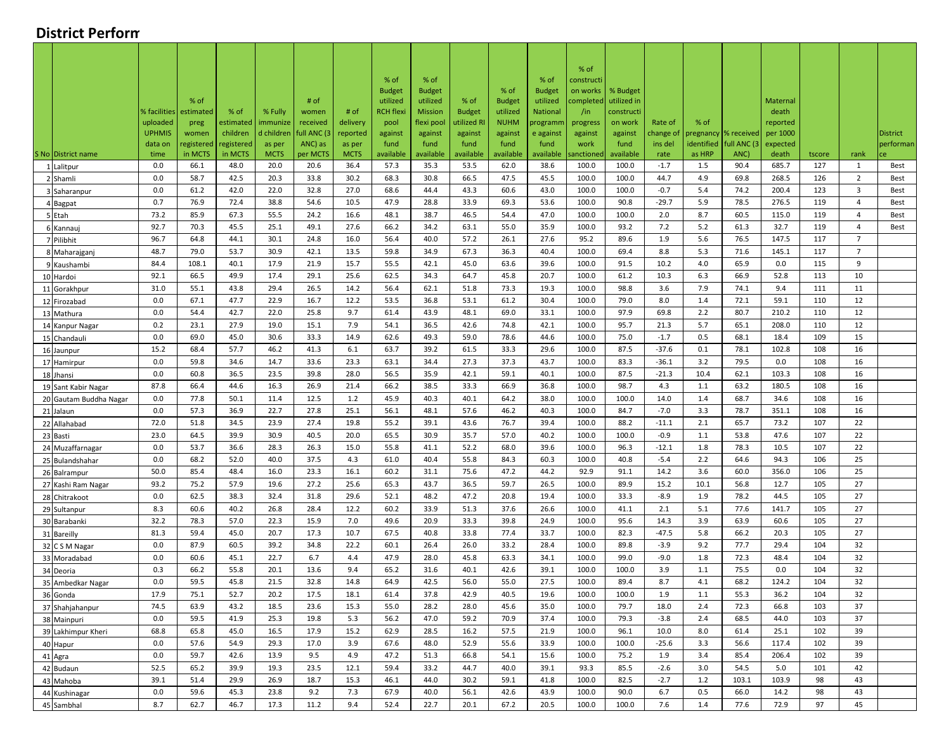## **District Perform**

|                                 |                           |               |                       |                        |                         |                      |                  |                       |                        |                        |                       | % of                |                    |                      |                   |              |                      |            |                |                 |
|---------------------------------|---------------------------|---------------|-----------------------|------------------------|-------------------------|----------------------|------------------|-----------------------|------------------------|------------------------|-----------------------|---------------------|--------------------|----------------------|-------------------|--------------|----------------------|------------|----------------|-----------------|
|                                 |                           |               |                       |                        |                         |                      | % of             | % of                  |                        |                        | % of                  | constructi          |                    |                      |                   |              |                      |            |                |                 |
|                                 |                           |               |                       |                        |                         |                      | <b>Budget</b>    | <b>Budget</b>         |                        | % of                   | <b>Budget</b>         | on works            | % Budget           |                      |                   |              |                      |            |                |                 |
|                                 |                           | % of          |                       |                        | # of                    |                      | utilized         | utilized              | % of                   | <b>Budget</b>          | utilized              | :ompleted           | utilized in        |                      |                   |              | Maternal             |            |                |                 |
|                                 | % facilities              | estimated     | % of                  | % Fully                | women                   | # of                 | <b>RCH flexi</b> | <b>Mission</b>        | <b>Budget</b>          | utilized               | <b>National</b>       | /in                 | constructi         |                      |                   |              | death                |            |                |                 |
|                                 | uploaded<br><b>UPHMIS</b> | preg<br>women | estimated<br>children | immunize<br>d children | received<br>full ANC (3 | delivery<br>reported | pool<br>against  | flexi pool<br>against | utilized RI<br>against | <b>NUHM</b><br>against | orogramn<br>e against | progress<br>against | on work<br>against | Rate of<br>change of | % of<br>pregnancy | % received   | reported<br>per 1000 |            |                | <b>District</b> |
|                                 | data on                   | egistered     | registered            | as per                 | ANC) as                 | as per               | fund             | fund                  | fund                   | fund                   | fund                  | work                | fund               | ins del              | identified        | full ANC (3  | expected             |            |                | performan       |
| S No District name              | time                      | in MCTS       | in MCTS               | <b>MCTS</b>            | per MCTS                | <b>MCTS</b>          | available        | available             | available              | available              | available             | anctioneo           | available          | rate                 | as HRP            | ANC)         | death                | tscore     | rank           |                 |
| 1 Lalitpur                      | 0.0                       | 66.1          | 48.0                  | 20.0                   | 20.6                    | 36.4                 | 57.3             | 35.3                  | 53.5                   | 62.0                   | 38.6                  | 100.0               | 100.0              | $-1.7$               | 1.5               | 90.4         | 685.7                | 127        | 1              | Best            |
| 2 Shamli                        | 0.0                       | 58.7          | 42.5                  | 20.3                   | 33.8                    | 30.2                 | 68.3             | 30.8                  | 66.5                   | 47.5                   | 45.5                  | 100.0               | 100.0              | 44.7                 | 4.9               | 69.8         | 268.5                | 126        | $\overline{2}$ | Best            |
| 3 Saharanpur                    | 0.0                       | 61.2          | 42.0                  | 22.0                   | 32.8                    | 27.0                 | 68.6             | 44.4                  | 43.3                   | 60.6                   | 43.0                  | 100.0               | 100.0              | $-0.7$               | 5.4               | 74.2         | 200.4                | 123        | $\overline{3}$ | Best            |
| 4 Bagpat                        | 0.7                       | 76.9          | 72.4                  | 38.8                   | 54.6                    | 10.5                 | 47.9             | 28.8                  | 33.9                   | 69.3                   | 53.6                  | 100.0               | 90.8               | $-29.7$              | 5.9               | 78.5         | 276.5                | 119        | $\overline{4}$ | Best            |
| 5 Etah                          | 73.2                      | 85.9          | 67.3                  | 55.5                   | 24.2                    | 16.6                 | 48.1             | 38.7                  | 46.5                   | 54.4                   | 47.0                  | 100.0               | 100.0              | 2.0                  | 8.7               | 60.5         | 115.0                | 119        | $\overline{4}$ | Best            |
| 6 Kannauj                       | 92.7                      | 70.3          | 45.5                  | 25.1                   | 49.1                    | 27.6                 | 66.2             | 34.2                  | 63.1                   | 55.0                   | 35.9                  | 100.0               | 93.2               | 7.2                  | 5.2               | 61.3         | 32.7                 | 119        | $\overline{4}$ | Best            |
| 7 Pilibhit                      | 96.7                      | 64.8          | 44.1                  | 30.1                   | 24.8                    | 16.0                 | 56.4             | 40.0                  | 57.2                   | 26.1                   | 27.6                  | 95.2                | 89.6               | 1.9                  | 5.6               | 76.5         | 147.5                | 117        | $\overline{7}$ |                 |
| 8 Maharajganj                   | 48.7                      | 79.0          | 53.7                  | 30.9                   | 42.1                    | 13.5                 | 59.8             | 34.9                  | 67.3                   | 36.3                   | 40.4                  | 100.0               | 69.4               | 8.8                  | 5.3               | 71.6         | 145.1                | 117        | $\overline{7}$ |                 |
| 9 Kaushambi                     | 84.4                      | 108.1         | 40.1                  | 17.9                   | 21.9                    | 15.7                 | 55.5             | 42.1                  | 45.0                   | 63.6                   | 39.6                  | 100.0               | 91.5               | 10.2                 | 4.0               | 65.9         | 0.0                  | 115        | 9              |                 |
| 10 Hardoi                       | 92.1                      | 66.5          | 49.9                  | 17.4                   | 29.1                    | 25.6                 | 62.5             | 34.3                  | 64.7                   | 45.8                   | 20.7                  | 100.0               | 61.2               | 10.3                 | 6.3               | 66.9         | 52.8                 | 113        | 10             |                 |
| 11 Gorakhpur                    | 31.0                      | 55.1          | 43.8                  | 29.4                   | 26.5                    | 14.2                 | 56.4             | 62.1                  | 51.8                   | 73.3                   | 19.3                  | 100.0               | 98.8               | 3.6                  | 7.9               | 74.1         | 9.4                  | 111        | 11             |                 |
| 12 Firozabad                    | 0.0                       | 67.1          | 47.7                  | 22.9                   | 16.7                    | 12.2                 | 53.5             | 36.8                  | 53.1                   | 61.2                   | 30.4                  | 100.0               | 79.0               | 8.0                  | 1.4               | 72.1         | 59.1                 | 110        | 12             |                 |
| 13 Mathura                      | 0.0                       | 54.4          | 42.7                  | 22.0                   | 25.8                    | 9.7                  | 61.4             | 43.9                  | 48.1                   | 69.0                   | 33.1                  | 100.0               | 97.9               | 69.8                 | 2.2               | 80.7         | 210.2                | 110        | 12             |                 |
| 14 Kanpur Nagar                 | 0.2                       | 23.1          | 27.9                  | 19.0                   | 15.1                    | 7.9                  | 54.1             | 36.5                  | 42.6                   | 74.8                   | 42.1                  | 100.0               | 95.7               | 21.3                 | 5.7               | 65.1         | 208.0                | 110        | 12             |                 |
| 15 Chandauli                    | 0.0                       | 69.0          | 45.0                  | 30.6                   | 33.3                    | 14.9                 | 62.6             | 49.3                  | 59.0                   | 78.6                   | 44.6                  | 100.0               | 75.0               | $-1.7$               | 0.5               | 68.1         | 18.4                 | 109        | 15             |                 |
| 16 Jaunpur                      | 15.2                      | 68.4          | 57.7                  | 46.2                   | 41.3                    | 6.1                  | 63.7             | 39.2                  | 61.5                   | 33.3                   | 29.6                  | 100.0               | 87.5               | $-37.6$              | 0.1               | 78.1         | 102.8                | 108        | 16             |                 |
| 17 Hamirpur                     | 0.0                       | 59.8          | 34.6                  | 14.7                   | 33.6                    | 23.3                 | 63.1             | 34.4                  | 27.3                   | 37.3                   | 43.7                  | 100.0               | 83.3               | $-36.1$              | 3.2               | 79.5         | 0.0                  | 108        | 16             |                 |
| 18 Jhansi                       | 0.0                       | 60.8          | 36.5                  | 23.5                   | 39.8                    | 28.0                 | 56.5             | 35.9                  | 42.1                   | 59.1                   | 40.1                  | 100.0               | 87.5               | $-21.3$              | 10.4              | 62.1         | 103.3                | 108        | 16             |                 |
| 19 Sant Kabir Nagar             | 87.8                      | 66.4          | 44.6                  | 16.3                   | 26.9                    | 21.4                 | 66.2             | 38.5                  | 33.3                   | 66.9                   | 36.8                  | 100.0               | 98.7               | 4.3                  | 1.1               | 63.2         | 180.5                | 108        | 16             |                 |
| 20 Gautam Buddha Nagar          | 0.0                       | 77.8          | 50.1                  | 11.4                   | 12.5                    | 1.2                  | 45.9             | 40.3                  | 40.1                   | 64.2                   | 38.0                  | 100.0               | 100.0              | 14.0                 | 1.4               | 68.7         | 34.6                 | 108        | 16             |                 |
| 21 Jalaun                       | 0.0                       | 57.3          | 36.9                  | 22.7                   | 27.8                    | 25.1                 | 56.1             | 48.1                  | 57.6                   | 46.2                   | 40.3                  | 100.0               | 84.7               | $-7.0$               | 3.3               | 78.7         | 351.1                | 108        | 16             |                 |
| 22 Allahabad                    | 72.0                      | 51.8          | 34.5<br>39.9          | 23.9                   | 27.4                    | 19.8<br>20.0         | 55.2             | 39.1<br>30.9          | 43.6<br>35.7           | 76.7                   | 39.4<br>40.2          | 100.0<br>100.0      | 88.2               | $-11.1$              | 2.1<br>1.1        | 65.7         | 73.2<br>47.6         | 107<br>107 | 22             |                 |
| 23 Basti                        | 23.0<br>0.0               | 64.5<br>53.7  | 36.6                  | 30.9<br>28.3           | 40.5<br>26.3            | 15.0                 | 65.5<br>55.8     | 41.1                  | 52.2                   | 57.0<br>68.0           | 39.6                  | 100.0               | 100.0<br>96.3      | $-0.9$<br>$-12.1$    | 1.8               | 53.8<br>78.3 | 10.5                 | 107        | 22<br>22       |                 |
| 24 Muzaffarnagar                | 0.0                       | 68.2          | 52.0                  | 40.0                   | 37.5                    | 4.3                  | 61.0             | 40.4                  | 55.8                   | 84.3                   | 60.3                  | 100.0               | 40.8               | $-5.4$               | 2.2               | 64.6         | 94.3                 | 106        | 25             |                 |
| 25 Bulandshahar<br>26 Balrampur | 50.0                      | 85.4          | 48.4                  | 16.0                   | 23.3                    | 16.1                 | 60.2             | 31.1                  | 75.6                   | 47.2                   | 44.2                  | 92.9                | 91.1               | 14.2                 | 3.6               | 60.0         | 356.0                | 106        | 25             |                 |
| 27 Kashi Ram Nagar              | 93.2                      | 75.2          | 57.9                  | 19.6                   | 27.2                    | 25.6                 | 65.3             | 43.7                  | 36.5                   | 59.7                   | 26.5                  | 100.0               | 89.9               | 15.2                 | 10.1              | 56.8         | 12.7                 | 105        | 27             |                 |
| 28 Chitrakoot                   | 0.0                       | 62.5          | 38.3                  | 32.4                   | 31.8                    | 29.6                 | 52.1             | 48.2                  | 47.2                   | 20.8                   | 19.4                  | 100.0               | 33.3               | $-8.9$               | 1.9               | 78.2         | 44.5                 | 105        | 27             |                 |
| 29 Sultanpur                    | 8.3                       | 60.6          | 40.2                  | 26.8                   | 28.4                    | 12.2                 | 60.2             | 33.9                  | 51.3                   | 37.6                   | 26.6                  | 100.0               | 41.1               | 2.1                  | 5.1               | 77.6         | 141.7                | 105        | 27             |                 |
| 30 Barabanki                    | 32.2                      | 78.3          | 57.0                  | 22.3                   | 15.9                    | 7.0                  | 49.6             | 20.9                  | 33.3                   | 39.8                   | 24.9                  | 100.0               | 95.6               | 14.3                 | 3.9               | 63.9         | 60.6                 | 105        | 27             |                 |
| 31 Bareilly                     | 81.3                      | 59.4          | 45.0                  | 20.7                   | 17.3                    | 10.7                 | 67.5             | 40.8                  | 33.8                   | 77.4                   | 33.7                  | 100.0               | 82.3               | $-47.5$              | 5.8               | 66.2         | 20.3                 | 105        | 27             |                 |
| 32 C S M Nagar                  | 0.0                       | 87.9          | 60.5                  | 39.2                   | 34.8                    | 22.2                 | 60.1             | 26.4                  | 26.0                   | 33.2                   | 28.4                  | 100.0               | 89.8               | $-3.9$               | 9.2               | 77.7         | 29.4                 | 104        | 32             |                 |
| 33 Moradabad                    | 0.0                       | 60.6          | 45.1                  | 22.7                   | 6.7                     | 4.4                  | 47.9             | 28.0                  | 45.8                   | 63.3                   | 34.1                  | 100.0               | 99.0               | $-9.0$               | 1.8               | 72.3         | 48.4                 | 104        | 32             |                 |
| 34 Deoria                       | 0.3                       | 66.2          | 55.8                  | 20.1                   | 13.6                    | 9.4                  | 65.2             | 31.6                  | 40.1                   | 42.6                   | 39.1                  | 100.0               | 100.0              | 3.9                  | 1.1               | 75.5         | 0.0                  | 104        | 32             |                 |
| 35 Ambedkar Nagar               | 0.0                       | 59.5          | 45.8                  | 21.5                   | 32.8                    | 14.8                 | 64.9             | 42.5                  | 56.0                   | 55.0                   | 27.5                  | 100.0               | 89.4               | 8.7                  | 4.1               | 68.2         | 124.2                | 104        | 32             |                 |
| 36 Gonda                        | 17.9                      | 75.1          | 52.7                  | 20.2                   | 17.5                    | 18.1                 | 61.4             | 37.8                  | 42.9                   | 40.5                   | 19.6                  | 100.0               | 100.0              | 1.9                  | 1.1               | 55.3         | 36.2                 | 104        | 32             |                 |
| 37 Shahjahanpur                 | 74.5                      | 63.9          | 43.2                  | 18.5                   | 23.6                    | 15.3                 | 55.0             | 28.2                  | 28.0                   | 45.6                   | 35.0                  | 100.0               | 79.7               | 18.0                 | 2.4               | 72.3         | 66.8                 | 103        | 37             |                 |
| 38 Mainpuri                     | 0.0                       | 59.5          | 41.9                  | 25.3                   | 19.8                    | 5.3                  | 56.2             | 47.0                  | 59.2                   | 70.9                   | 37.4                  | 100.0               | 79.3               | $-3.8$               | 2.4               | 68.5         | 44.0                 | 103        | 37             |                 |
| 39 Lakhimpur Kheri              | 68.8                      | 65.8          | 45.0                  | 16.5                   | 17.9                    | 15.2                 | 62.9             | 28.5                  | 16.2                   | 57.5                   | 21.9                  | 100.0               | 96.1               | 10.0                 | 8.0               | 61.4         | 25.1                 | 102        | 39             |                 |
| 40 Hapur                        | 0.0                       | 57.6          | 54.9                  | 29.3                   | 17.0                    | 3.9                  | 67.6             | 48.0                  | 52.9                   | 55.6                   | 33.9                  | 100.0               | 100.0              | $-25.6$              | 3.3               | 56.6         | 117.4                | 102        | 39             |                 |
| 41 Agra                         | 0.0                       | 59.7          | 42.6                  | 13.9                   | 9.5                     | 4.9                  | 47.2             | 51.3                  | 66.8                   | 54.1                   | 15.6                  | 100.0               | 75.2               | 1.9                  | 3.4               | 85.4         | 206.4                | 102        | 39             |                 |
| 42 Budaun                       | 52.5                      | 65.2          | 39.9                  | 19.3                   | 23.5                    | 12.1                 | 59.4             | 33.2                  | 44.7                   | 40.0                   | 39.1                  | 93.3                | 85.5               | $-2.6$               | 3.0               | 54.5         | 5.0                  | 101        | 42             |                 |
| 43 Mahoba                       | 39.1                      | 51.4          | 29.9                  | 26.9                   | 18.7                    | 15.3                 | 46.1             | 44.0                  | 30.2                   | 59.1                   | 41.8                  | 100.0               | 82.5               | $-2.7$               | 1.2               | 103.1        | 103.9                | 98         | 43             |                 |
| 44 Kushinagar                   | 0.0                       | 59.6          | 45.3                  | 23.8                   | 9.2                     | 7.3                  | 67.9             | 40.0                  | 56.1                   | 42.6                   | 43.9                  | 100.0               | 90.0               | 6.7                  | 0.5               | 66.0         | 14.2                 | 98         | 43             |                 |
| 45 Sambhal                      | 8.7                       | 62.7          | 46.7                  | 17.3                   | 11.2                    | 9.4                  | 52.4             | 22.7                  | 20.1                   | 67.2                   | 20.5                  | 100.0               | 100.0              | 7.6                  | 1.4               | 77.6         | 72.9                 | 97         | 45             |                 |